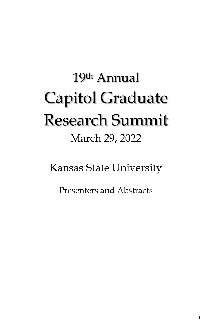# 19th Annual Capitol Graduate Research Summit March 29, 2022

Kansas State University

Presenters and Abstracts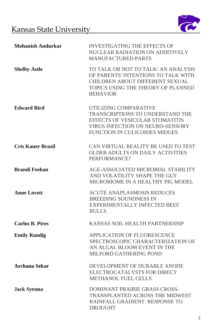

| <b>Mohanish Andurkar</b> | <b>INVESTIGATING THE EFFECTS OF</b><br>NUCLEAR RADIATION ON ADDITIVELY<br><b>MANUFACTURED PARTS</b>                                                                    |
|--------------------------|------------------------------------------------------------------------------------------------------------------------------------------------------------------------|
| <b>Shelby Astle</b>      | TO TALK OR NOT TO TALK: AN ANALYSIS<br>OF PARENTS' INTENTIONS TO TALK WITH<br>CHILDREN ABOUT DIFFERENT SEXUAL<br>TOPICS USING THE THEORY OF PLANNED<br><b>BEHAVIOR</b> |
| <b>Edward Bird</b>       | UTILIZING COMPARATIVE<br>TRANSCRIPTIONS TO UNDERSTAND THE<br>EFFECTS OF VESICULAR STOMATITIS<br>VIRUS INFECTION ON NEURO-SENSORY<br>FUNCTION IN CULICOIDES MIDGES      |
| <b>Cris Kauer Brazil</b> | CAN VIRTUAL REALITY BE USED TO TEST<br><b>OLDER ADULTS ON DAILY ACTIVITIES</b><br>PERFORMANCE?                                                                         |
| <b>Brandi Feehan</b>     | AGE-ASSOCIATED MICROBIAL STABILITY<br>AND VOLATILITY SHAPE THE GUT<br>MICROBIOME IN A HEALTHY PIG MODEL                                                                |
| <b>Anne Lovett</b>       | <b>ACUTE ANAPLASMOSIS REDUCES</b><br><b>BREEDING SOUNDNESS IN</b><br>EXPERIMENTALLY INFECTED BEEF<br><b>BULLS</b>                                                      |
| <b>Carlos B. Pires</b>   | KANSAS SOIL HEALTH PARTNERSHIP                                                                                                                                         |
| <b>Emily Randig</b>      | APPLICATION OF FLUORESCENCE<br>SPECTROSCOPIC CHARACTERIZATION OF<br>AN ALGAL BLOOM EVENT IN THE<br><b>MILFORD GATHERING POND</b>                                       |
| <b>Archana Sekar</b>     | DEVELOPMENT OF DURABLE ANODE<br>ELECTROCATALYSTS FOR DIRECT<br>METHANOL FUEL CELLS                                                                                     |
| <b>Jack Sytsma</b>       | <b>DOMINANT PRAIRIE GRASS CROSS-</b><br>TRANSPLANTED ACROSS THE MIDWEST<br><b>RAINFALL GRADIENT: RESPONSE TO</b><br><b>DROUGHT</b>                                     |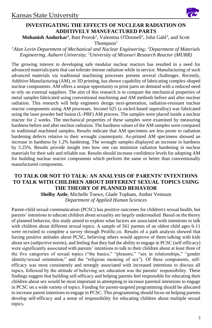# **INVESTIGATING THE EFFECTS OF NUCLEAR RADIATION ON ADDITIVELY MANUFACTURED PARTS**

Mohanish Andurkar<sup>1</sup>, Bart Prorok<sup>2</sup>, Valentina O'Donnell<sup>3</sup>, John Gahl<sup>3</sup>, and Scott

 $Thompson<sup>1</sup>$ 

### *<sup>1</sup>Alan Levin Department of Mechanical and Nuclear Engineering; <sup>2</sup>Department of Materials Engineering, Auburn University; <sup>3</sup>University of Missouri Research Reactor (MURR)*

The growing interest in developing safe modular nuclear reactors has resulted in a need for advanced materials/parts that can tolerate intense radiation while in service. Manufacturing of such advanced materials via traditional machining processes present several challenges. Recently, Additive Manufacturing (AM), or 3D printing, has shown capability of fabricating complex-shaped nuclear components. AM offers a unique opportunity to print parts on demand with a reduced need to rely on external suppliers. The aim of this research is to compare the mechanical properties of metal samples fabricated using conventional machining and AM methods before and after nuclear radiation. This research will help engineers design next-generation, radiation-resistant nuclear reactor components using AM processes. Inconel 625 (a nickel-based superalloy) was fabricated using the laser powder bed fusion (L-PBF) AM process. The samples were placed inside a nuclear reactor for 2 weeks. The mechanical properties of these samples were examined by measuring hardness before and after nuclear radiation. The hardness values of the AM samples were compared to traditional machined samples**.** Results indicate that AM specimens are less prone to radiation hardening defects relative to their wrought counterparts. As-printed AM specimens showed an increase in hardness by 1.2% hardening. The wrought samples displayed an increase in hardness by 5.25%. Results provide insight into how one can minimize radiation hardening in nuclear materials for their safe and reliable use. Results should increase confidence levels for adopting AM for building nuclear reactor components which perform the same or better than conventionally manufactured components.

# **TO TALK OR NOT TO TALK: AN ANALYSIS OF PARENTS' INTENTIONS TO TALK WITH CHILDREN ABOUT DIFFERENT SEXUAL TOPICS USING THE THEORY OF PLANNED BEHAVIOR**

**Shelby Astle**, Michelle Toews, Glade Topham, Amber Vennum *Department of Applied Human Sciences*

Parent-child sexual communication (PCSC) has positive outcomes for children's sexual health, but parents' intentions to educate children about sexuality are largely understudied. Based on the theory of planned behavior, this study aimed to explore what factors are associated with intentions to talk with children about different sexual topics. A sample of 561 parents of an oldest child ages 6-11 were recruited to complete a survey through Prolific.co. Results of a path analysis showed that having positive attitudes about PCSC, believing others would approve of them talking with kids about sex (subjective norms), and feeling that they had the ability to engage in PCSC (self-efficacy) were significantly associated with parents' intentions to talk to their children about at least three of the five categories of sexual topics ("the basics," "pleasure," "sex in relationships," "gender identity/sexual orientation," and the "religious meaning of sex"). Of these components, selfefficacy was most consistently and strongly associated with increased intentions to discuss all topics, followed by the attitude of believing sex education was the parents' responsibility. These findings suggest that building self-efficacy and helping parents feel responsible for educating their children about sex would be most important in attempting to increase parental intentions to engage in PCSC on a wide variety of topics. Funding for parent-targeted programming should be allocated to increase parent intentions to engage in PCSC. This programming should focus on helping parents develop self-efficacy and a sense of responsibility for educating children about multiple sexual topics.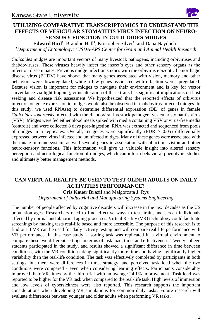

# **UTILIZING COMPARATIVE TRANSCRIPTOMICS TO UNDERSTAND THE EFFECTS OF VESICULAR STOMATITIS VIRUS INFECTION ON NEURO-SENSORY FUNCTION IN CULICOIDES MIDGES**

**Edward Bird**<sup>1</sup>, Brandon Hall<sup>1</sup>, Kristopher Silver<sup>1</sup>, and Dana Nayduch<sup>2</sup> *<sup>1</sup>Department of Entomology; <sup>2</sup>USDA-ARS Center for Grain and Animal Health Research*

*Culicoides* midges are important vectors of many livestock pathogens, including orbiviruses and rhabdoviruses. These viruses heavily infect the insect's eyes and other sensory organs as the infection disseminates. Previous midge infection studies with the orbivirus epizootic hemorrhagic disease virus (EHDV) have shown that many genes associated with vision, memory and other behaviors were downregulated, while a few genes associated with olfaction were upregulated. Because vision is important for midges to navigate their environment and is key for vector surveillance via light trapping, virus alteration of these traits has significant implications on host seeking and disease risk assessment. We hypothesized that the reported effects of orbivirus infection on gene expression in midges would also be observed in rhabdovirus-infected midges. In this study, we used RNAseq to determine differential expression (DE) of genes in female *Culicoides sonorensis* infected with the rhabdoviral livestock pathogen, vesicular stomatitis virus (VSV). Midges were fed either blood meals spiked with media containing VSV or virus-free media (controls) and were collected 8 days post-ingestion. RNA was extracted and sequenced from pools of midges in 5 replicates. Overall, 65 genes were significantly (FDR  $> 0.05$ ) differentially expressed between virus infected and uninfected midges. Many of these genes were associated with the innate immune system, as well several genes in association with olfaction, vision and other neuro-sensory functions. This information will give us valuable insight into altered sensory perception and neurological function of midges, which can inform behavioral phenotypic studies and ultimately better management methods.

# **CAN VIRTUAL REALITY BE USED TO TEST OLDER ADULTS ON DAILY ACTIVITIES PERFORMANCE?**

**Cris Kauer Brazil** and Malgorzata J. Rys

*Department of Industrial and Manufacturing Systems Engineering*

The number of people affected by cognitive disorders will increase in the next decades as the US population ages. Researchers need to find effective ways to test, train, and screen individuals affected by normal and abnormal aging processes. Virtual Reality (VR) technology could facilitate screenings by making tests real-life based and more accessible. The purpose of this research is to find out if VR can be used for daily activity testing and will compare real-life performance with VR performance. In this case study, a sorting task was replicated in a virtual environment to compare these two different settings in terms of task load, time, and effectiveness. Twenty college students participated in the study, and results showed a significant difference in time between conditions, with the VR condition taking significantly more time and having significantly higher variability than the real-life condition. The task was effectively completed by participants in both settings, but there were differences in time, strategy, and perceived task load when the two conditions were compared - even when considering learning effects. Participants considerably improved their VR times by the third trial with an average 24.1% improvement. Task load was reported to be higher for the VR task when compared to the real-life task. High levels of immersion and low levels of cybersickness were also reported. This research supports the important considerations when developing VR simulations for common daily tasks. Future research will evaluate differences between younger and older adults when performing VR tasks.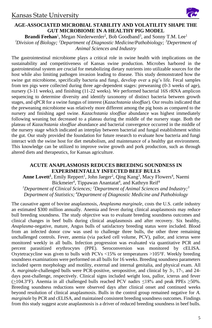

# **AGE-ASSOCIATED MICROBIAL STABILITY AND VOLATILITY SHAPE THE GUT MICROBIOME IN A HEALTHY PIG MODEL**

Brandi Feehan<sup>1</sup>, Megan Niederwerder<sup>2</sup>, Bob Goodband<sup>3</sup>, and Sonny T.M. Lee<sup>1</sup> *<sup>l</sup>Division of Biology; <sup>2</sup>Department of Diagnostic Medicine/Pathobiology; <sup>3</sup>Depertment of Animal Sciences and Industry*

The gastrointestinal microbiome plays a critical role in swine health with implications on the sustainability and competitiveness of Kansas swine production. Microbes harbored in the gastrointestinal system are crucial for metabolizing dietary nutrients into utilizable sources for the host while also limiting pathogen invasion leading to disease. This study demonstrated how the swine gut microbiome, specifically bacteria and fungi, develop over a pig's life. Fecal samples from ten pigs were collected during three age-dependent stages: preweaning (0-3 weeks of age), nursery (3-11 weeks), and finishing (11-22 weeks). We performed bacterial 16S rRNA amplicon sequencing to determine diversity and identify taxonomy of distinct bacteria between growth stages, and qPCR for a swine fungus of interest (*Kazachstania slooffiae*). Our results indicated that the preweaning microbiome was relatively more different among the pig hosts as compared to the nursery and finishing aged swine. *Kazachstania slooffiae* abundance was highest immediately following weaning but decreased to a plateau during the middle of the nursery stage. Both the plateau of *Kazachstania slooffiae* abundance and bacterial convergence occurred in the middle of the nursery stage which indicated an interplay between bacterial and fungal establishment within the gut. Our study provided the foundation for future research to evaluate how bacteria and fungi interact with the swine host for diet metabolism, and maintenance of a healthy gut environment. This knowledge can be utilized to improve swine growth and pork production, such as through altered diets and therapeutics, for Kansas agriculture.

#### **ACUTE ANAPLASMOSIS REDUCES BREEDING SOUNDNESS IN EXPERIMENTALLY INFECTED BEEF BULLS**

Anne Lovett<sup>1</sup>, Emily Reppert<sup>1</sup>, John Jaeger<sup>2</sup>, Qing Kang<sup>3</sup>, Macy Flowers<sup>4</sup>, Naemi Bickmeier<sup>4</sup>, Tippawan Anantatat<sup>4</sup>, and Kathryn Reif<sup>4</sup>

*<sup>1</sup>Department of Clinical Sciences; <sup>2</sup>Department of Animal Sciences and Industry;<sup>3</sup> Department of Statistics; <sup>4</sup>Department of Diagnostic Medicine and Pathobiology*

The causative agent of bovine anaplasmosis, *Anaplasma marginale*, costs the U.S. cattle industry an estimated \$300 million annually. Anemia and fever during clinical anaplasmosis may reduce bull breeding soundness. The study objective was to evaluate breeding soundness outcomes and clinical changes in beef bulls during clinical anaplasmosis and after recovery. Six healthy, *Anaplasma*-negative, mature, Angus bulls of satisfactory breeding status were included. Blood from an infected donor cow was used to challenge three bulls, the other three remaining unchallenged controls. Fever, anemia (via packed cell volume, PCV), pallor, and icterus were monitored weekly in all bulls. Infection progression was evaluated via quantitative PCR and percent parasitized erythrocytes (PPE). Seroconversion was monitored by cELISA. Oxytetracycline was given to bulls with PCVs <15% or temperatures >105°F. Weekly breeding soundness examinations were performed on all bulls for 16 weeks. Breeding soundness parameters included sperm morphology and motility, external and internal genitalia, and physical exam. All *A. marginale*-challenged bulls were PCR-positive, seropositive, and clinical by 3-, 17-, and 24 days post-challenge, respectively. Clinical signs included weight loss, pallor, icterus and fever  $(\geq 104.3^{\circ}F)$ . Anemia in all challenged bulls reached PCV nadirs ≤18% and peak PPEs ≥50%. Breeding soundness reductions were observed days after clinical onset and continued weeks beyond resolution of clinical anaplasmosis. Bulls in the control group remained negative for *A. marginale* by PCR and cELISA, and maintained consistent breeding soundness outcomes. Findings from this study suggest acute anaplasmosis is a driver of reduced breeding soundness in beef bulls.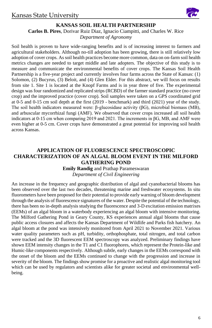

### **KANSAS SOIL HEALTH PARTNERSHIP**

**Carlos B. Pires**, Dorivar Ruiz Diaz, Ignacio Ciampitti, and Charles W. Rice *Department of Agronomy*

Soil health is proven to have wide-ranging benefits and is of increasing interest to farmers and agricultural stakeholders. Although no-till adoption has been growing, there is still relatively low adoption of cover crops. As soil health practices become more common, data on on-farm soil health metrics changes are needed to target middle and late adopters. The objective of this study is to measure and communicate the environmental benefits of cover crops. The Kansas Soil Health Partnership is a five-year project and currently involves four farms across the State of Kansas: (1) Solomon, (2) Bucyrus, (3) Beloit, and (4) Glen Elder. For this abstract, we will focus on results from site 1. Site 1 is located at the Knopf Farms and is in year three of five. The experimental design was four randomized and replicated strips (RCBD) of the farmer standard practice (no cover crop) and the improved practice (cover crop). Soil samples were taken on a GPS coordinated grid at 0-5 and 0-15 cm soil depth at the first (2019 - benchmark) and third (2021) year of the study. The soil health indicators measured were: β-glucosidase activity (βG), microbial biomass (MB), and arbuscular mycorrhizal fungi (AMF). We observed that cover crops increased all soil health indicators at 0-15 cm when comparing 2019 and 2021. The increments in βG, MB, and AMF were even higher at 0-5 cm. Cover crops have demonstrated a great potential for improving soil health across Kansas.

# **APPLICATION OF FLUORESCENCE SPECTROSCOPIC CHARACTERIZATION OF AN ALGAL BLOOM EVENT IN THE MILFORD GATHERING POND**

#### **Emily Randig** and Prathap Parameswaran *Department of Civil Engineering*

An increase in the frequency and geographic distribution of algal and cyanobacterial blooms has been observed over the last two decades, threatening marine and freshwater ecosystems. In situ fluorometers have been proposed for their potential to provide early warning of bloom development through the analysis of fluorescence signatures of the water. Despite the potential of the technology, there has been no in-depth analysis studying the fluorescence and 3-D excitation emission matrixes (EEMs) of an algal bloom in a waterbody experiencing an algal bloom with intensive monitoring. The Milford Gathering Pond in Geary County, KS experiences annual algal blooms that cause public access closures and affects the Kansas Department of Wildlife and Parks fish hatchery. An algal bloom at the pond was intensively monitored from April 2021 to November 2021. Various water quality parameters such as pH, turbidity, orthophosphate, total nitrogen, and total carbon were tracked and the 3D fluorescent EEM spectroscopy was analyzed. Preliminary findings have shown EEM intensity changes in the T1 and C1 fluorophores, which represent the Protein-like and Humic-like components respectively. Although subtle, early changes in the EEMs correspond with the onset of the bloom and the EEMs continued to change with the progression and increase in severity of the bloom. The findings show promise for a proactive and realistic algal monitoring tool which can be used by regulators and scientists alike for greater societal and environmental wellbeing.